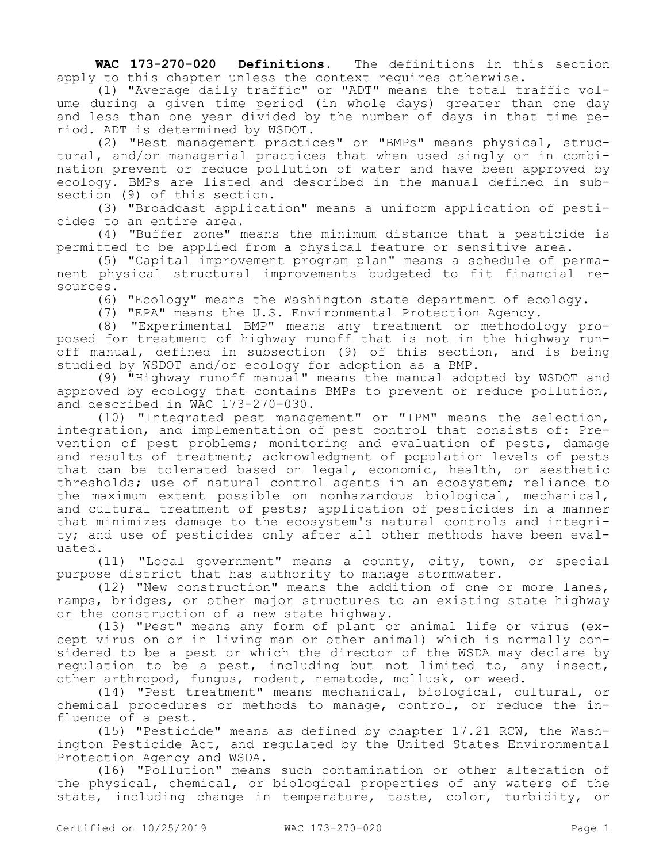**WAC 173-270-020 Definitions.** The definitions in this section apply to this chapter unless the context requires otherwise.

(1) "Average daily traffic" or "ADT" means the total traffic volume during a given time period (in whole days) greater than one day and less than one year divided by the number of days in that time period. ADT is determined by WSDOT.

(2) "Best management practices" or "BMPs" means physical, structural, and/or managerial practices that when used singly or in combination prevent or reduce pollution of water and have been approved by ecology. BMPs are listed and described in the manual defined in subsection (9) of this section.

(3) "Broadcast application" means a uniform application of pesticides to an entire area.

(4) "Buffer zone" means the minimum distance that a pesticide is permitted to be applied from a physical feature or sensitive area.

(5) "Capital improvement program plan" means a schedule of permanent physical structural improvements budgeted to fit financial resources.

(6) "Ecology" means the Washington state department of ecology.

(7) "EPA" means the U.S. Environmental Protection Agency.

(8) "Experimental BMP" means any treatment or methodology proposed for treatment of highway runoff that is not in the highway runoff manual, defined in subsection (9) of this section, and is being studied by WSDOT and/or ecology for adoption as a BMP.

(9) "Highway runoff manual" means the manual adopted by WSDOT and approved by ecology that contains BMPs to prevent or reduce pollution, and described in WAC 173-270-030.

(10) "Integrated pest management" or "IPM" means the selection, integration, and implementation of pest control that consists of: Prevention of pest problems; monitoring and evaluation of pests, damage and results of treatment; acknowledgment of population levels of pests that can be tolerated based on legal, economic, health, or aesthetic thresholds; use of natural control agents in an ecosystem; reliance to the maximum extent possible on nonhazardous biological, mechanical, and cultural treatment of pests; application of pesticides in a manner that minimizes damage to the ecosystem's natural controls and integrity; and use of pesticides only after all other methods have been evaluated.

(11) "Local government" means a county, city, town, or special purpose district that has authority to manage stormwater.

(12) "New construction" means the addition of one or more lanes, ramps, bridges, or other major structures to an existing state highway or the construction of a new state highway.

(13) "Pest" means any form of plant or animal life or virus (except virus on or in living man or other animal) which is normally considered to be a pest or which the director of the WSDA may declare by regulation to be a pest, including but not limited to, any insect, other arthropod, fungus, rodent, nematode, mollusk, or weed.

(14) "Pest treatment" means mechanical, biological, cultural, or chemical procedures or methods to manage, control, or reduce the influence of a pest.

(15) "Pesticide" means as defined by chapter 17.21 RCW, the Washington Pesticide Act, and regulated by the United States Environmental Protection Agency and WSDA.

(16) "Pollution" means such contamination or other alteration of the physical, chemical, or biological properties of any waters of the state, including change in temperature, taste, color, turbidity, or